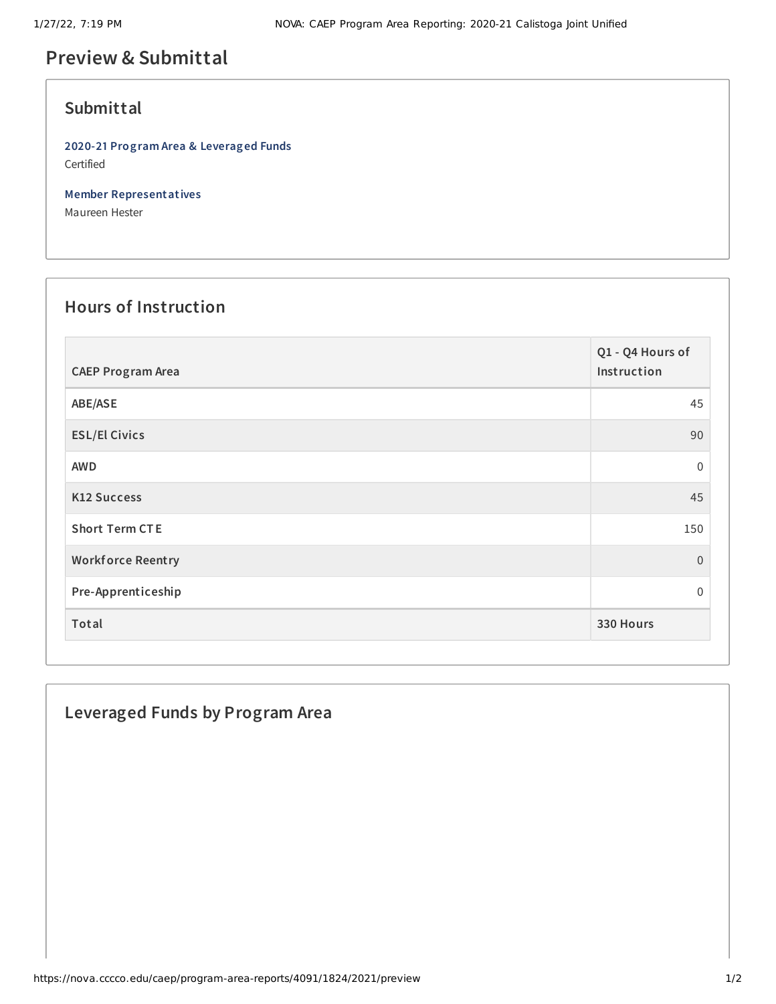# **Preview & Submittal**

#### **Submittal**

**2020-21 Program Area & Leveraged Funds** Certified

**Member Representatives**

Maureen Hester

### **Hours of Instruction**

| <b>CAEP Program Area</b> | Q1 - Q4 Hours of<br>Instruction |
|--------------------------|---------------------------------|
| ABE/ASE                  | 45                              |
| <b>ESL/El Civics</b>     | 90                              |
| <b>AWD</b>               | $\mathbf 0$                     |
| <b>K12 Success</b>       | 45                              |
| <b>Short Term CTE</b>    | 150                             |
| <b>Workforce Reentry</b> | $\overline{0}$                  |
| Pre-Apprenticeship       | 0                               |
| Total                    | 330 Hours                       |

#### **Leveraged Funds by Program Area**